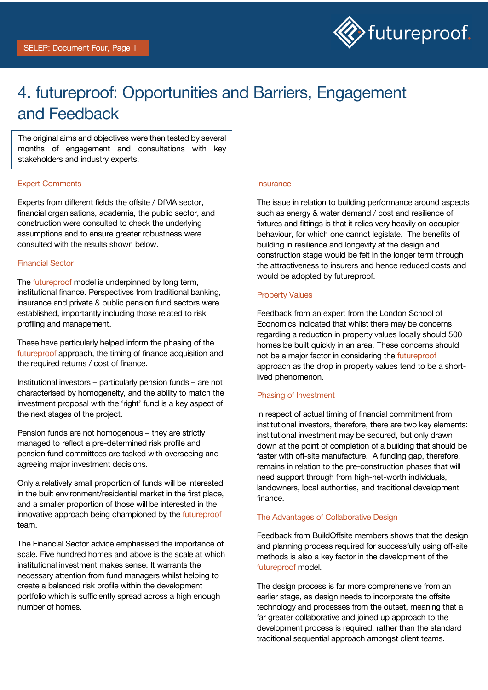

## 4. futureproof: Opportunities and Barriers, Engagement and Feedback

The original aims and objectives were then tested by several months of engagement and consultations with key stakeholders and industry experts.

### **Expert Comments**<br> **Expert Comments**

Experts from different fields the offsite / DfMA sector, financial organisations, academia, the public sector, and construction were consulted to check the underlying assumptions and to ensure greater robustness were consulted with the results shown below.

#### Financial Sector

The futureproof model is underpinned by long term, institutional finance. Perspectives from traditional banking, insurance and private & public pension fund sectors were established, importantly including those related to risk profiling and management.

These have particularly helped inform the phasing of the futureproof approach, the timing of finance acquisition and the required returns / cost of finance.

Institutional investors – particularly pension funds – are not characterised by homogeneity, and the ability to match the investment proposal with the 'right' fund is a key aspect of the next stages of the project.

Pension funds are not homogenous – they are strictly managed to reflect a pre-determined risk profile and pension fund committees are tasked with overseeing and agreeing major investment decisions.

Only a relatively small proportion of funds will be interested in the built environment/residential market in the first place, and a smaller proportion of those will be interested in the innovative approach being championed by the futureproof team.

The Financial Sector advice emphasised the importance of scale. Five hundred homes and above is the scale at which institutional investment makes sense. It warrants the necessary attention from fund managers whilst helping to create a balanced risk profile within the development portfolio which is sufficiently spread across a high enough number of homes.

The issue in relation to building performance around aspects such as energy & water demand / cost and resilience of fixtures and fittings is that it relies very heavily on occupier behaviour, for which one cannot legislate. The benefits of building in resilience and longevity at the design and construction stage would be felt in the longer term through the attractiveness to insurers and hence reduced costs and would be adopted by futureproof.

#### Property Values

Feedback from an expert from the London School of Economics indicated that whilst there may be concerns regarding a reduction in property values locally should 500 homes be built quickly in an area. These concerns should not be a major factor in considering the futureproof approach as the drop in property values tend to be a shortlived phenomenon.

#### Phasing of Investment

In respect of actual timing of financial commitment from institutional investors, therefore, there are two key elements: institutional investment may be secured, but only drawn down at the point of completion of a building that should be faster with off-site manufacture. A funding gap, therefore, remains in relation to the pre-construction phases that will need support through from high-net-worth individuals, landowners, local authorities, and traditional development finance.

### The Advantages of Collaborative Design

Feedback from BuildOffsite members shows that the design and planning process required for successfully using off-site methods is also a key factor in the development of the futureproof model.

The design process is far more comprehensive from an earlier stage, as design needs to incorporate the offsite technology and processes from the outset, meaning that a far greater collaborative and joined up approach to the development process is required, rather than the standard traditional sequential approach amongst client teams.